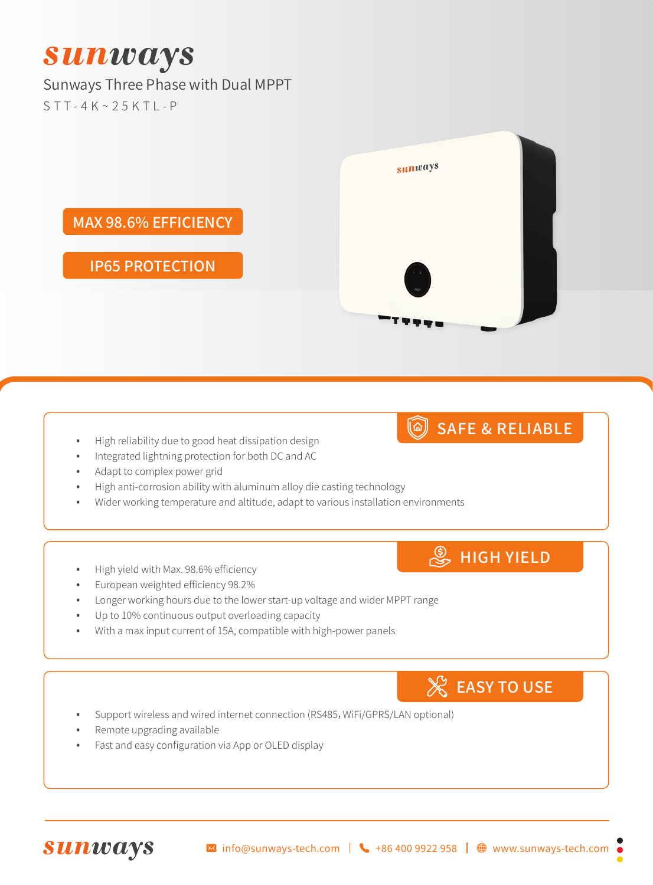# **Sunways**

## Sunways Three Phase with Dual MPPT

 $STT-4K\sim 25KTI- P$ 



#### High reliability due to good heat dissipation design

- Integrated lightning protection for both DC and AC
- Adapt to complex power grid
- High anti-corrosion ability with aluminum alloy die casting technology
- Wider working temperature and altitude, adapt to various installation environments

#### High yield with Max. 98.6% efficiency

- European weighted efficiency 98.2%
- Longer working hours due to the lower start-up voltage and wider MPPT range
- Up to 10% continuous output overloading capacity
- With a max input current of 15A, compatible with high-power panels

## **EASY TO USE**

SAFE & RELIABLE

**S**HIGH YIELD

- Support wireless and wired internet connection (RS485, WiFi/GPRS/LAN optional)
- Remote upgrading available
- Fast and easy configuration via App or OLED display